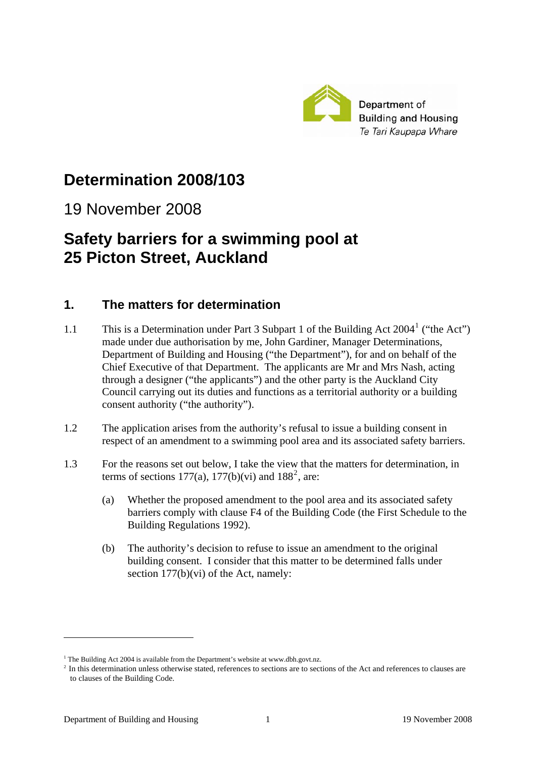

# **Determination 2008/103**

# 19 November 2008

# **Safety barriers for a swimming pool at 25 Picton Street, Auckland**

## **1. The matters for determination**

- [1](#page-0-0).1 This is a Determination under Part 3 Subpart 1 of the Building Act 2004<sup>1</sup> ("the Act") made under due authorisation by me, John Gardiner, Manager Determinations, Department of Building and Housing ("the Department"), for and on behalf of the Chief Executive of that Department. The applicants are Mr and Mrs Nash, acting through a designer ("the applicants") and the other party is the Auckland City Council carrying out its duties and functions as a territorial authority or a building consent authority ("the authority").
- 1.2 The application arises from the authority's refusal to issue a building consent in respect of an amendment to a swimming pool area and its associated safety barriers.
- 1.3 For the reasons set out below, I take the view that the matters for determination, in terms of sections 177(a), 177(b)(vi) and  $188^2$  $188^2$ , are:
	- (a) Whether the proposed amendment to the pool area and its associated safety barriers comply with clause F4 of the Building Code (the First Schedule to the Building Regulations 1992).
	- (b) The authority's decision to refuse to issue an amendment to the original building consent. I consider that this matter to be determined falls under section  $177(b)(vi)$  of the Act, namely:

<u>.</u>

<sup>&</sup>lt;sup>1</sup> The Building Act 2004 is available from the Department's website at www.dbh.govt.nz.

<span id="page-0-1"></span><span id="page-0-0"></span><sup>&</sup>lt;sup>2</sup> In this determination unless otherwise stated, references to sections are to sections of the Act and references to clauses are to clauses of the Building Code.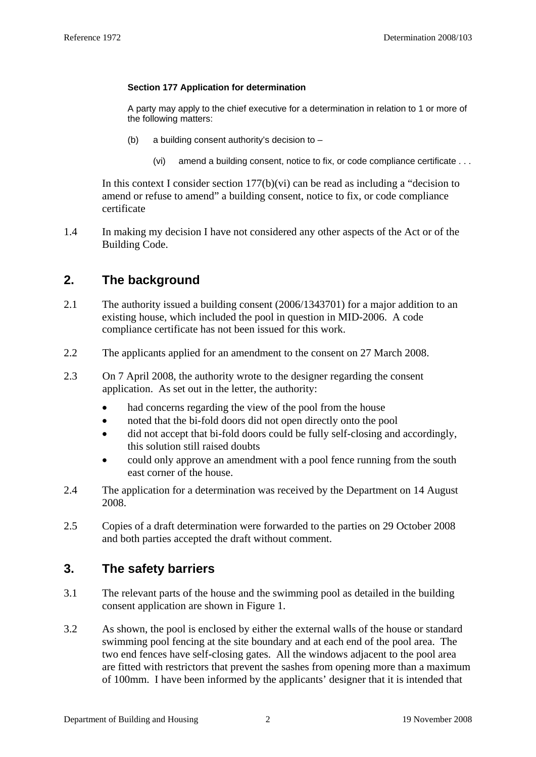#### **Section 177 Application for determination**

A party may apply to the chief executive for a determination in relation to 1 or more of the following matters:

- (b) a building consent authority's decision to  $-$ 
	- (vi) amend a building consent, notice to fix, or code compliance certificate . . .

In this context I consider section  $177(b)(vi)$  can be read as including a "decision to amend or refuse to amend" a building consent, notice to fix, or code compliance certificate

1.4 In making my decision I have not considered any other aspects of the Act or of the Building Code.

# **2. The background**

- 2.1 The authority issued a building consent (2006/1343701) for a major addition to an existing house, which included the pool in question in MID-2006. A code compliance certificate has not been issued for this work.
- 2.2 The applicants applied for an amendment to the consent on 27 March 2008.
- 2.3 On 7 April 2008, the authority wrote to the designer regarding the consent application. As set out in the letter, the authority:
	- had concerns regarding the view of the pool from the house
	- noted that the bi-fold doors did not open directly onto the pool
	- did not accept that bi-fold doors could be fully self-closing and accordingly, this solution still raised doubts
	- could only approve an amendment with a pool fence running from the south east corner of the house.
- 2.4 The application for a determination was received by the Department on 14 August 2008.
- 2.5 Copies of a draft determination were forwarded to the parties on 29 October 2008 and both parties accepted the draft without comment.

### **3. The safety barriers**

- 3.1 The relevant parts of the house and the swimming pool as detailed in the building consent application are shown in Figure 1.
- 3.2 As shown, the pool is enclosed by either the external walls of the house or standard swimming pool fencing at the site boundary and at each end of the pool area. The two end fences have self-closing gates. All the windows adjacent to the pool area are fitted with restrictors that prevent the sashes from opening more than a maximum of 100mm. I have been informed by the applicants' designer that it is intended that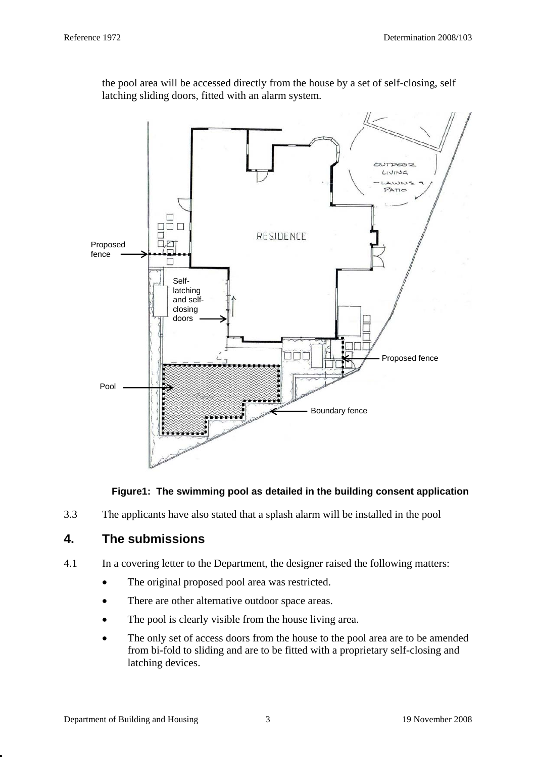

the pool area will be accessed directly from the house by a set of self-closing, self latching sliding doors, fitted with an alarm system.

### **Figure1: The swimming pool as detailed in the building consent application**

3.3 The applicants have also stated that a splash alarm will be installed in the pool

# **4. The submissions**

- 4.1 In a covering letter to the Department, the designer raised the following matters:
	- The original proposed pool area was restricted.
	- There are other alternative outdoor space areas.
	- The pool is clearly visible from the house living area.
	- The only set of access doors from the house to the pool area are to be amended from bi-fold to sliding and are to be fitted with a proprietary self-closing and latching devices.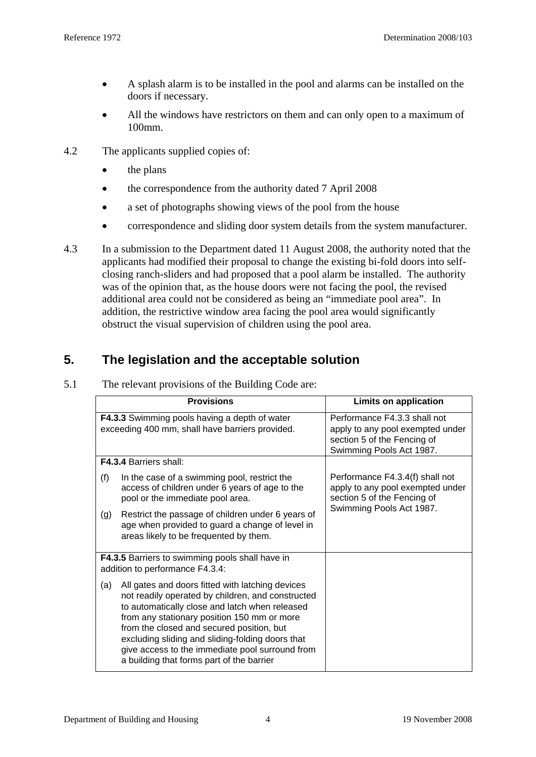- A splash alarm is to be installed in the pool and alarms can be installed on the doors if necessary.
- All the windows have restrictors on them and can only open to a maximum of 100mm.
- 4.2 The applicants supplied copies of:
	- the plans
	- the correspondence from the authority dated 7 April 2008
	- a set of photographs showing views of the pool from the house
	- correspondence and sliding door system details from the system manufacturer.
- 4.3 In a submission to the Department dated 11 August 2008, the authority noted that the applicants had modified their proposal to change the existing bi-fold doors into selfclosing ranch-sliders and had proposed that a pool alarm be installed. The authority was of the opinion that, as the house doors were not facing the pool, the revised additional area could not be considered as being an "immediate pool area". In addition, the restrictive window area facing the pool area would significantly obstruct the visual supervision of children using the pool area.

# **5. The legislation and the acceptable solution**

|                                                                                           | <b>Provisions</b>                                                                                                                                                                                                                                                                                                                                                                                       | Limits on application                                                                                                          |
|-------------------------------------------------------------------------------------------|---------------------------------------------------------------------------------------------------------------------------------------------------------------------------------------------------------------------------------------------------------------------------------------------------------------------------------------------------------------------------------------------------------|--------------------------------------------------------------------------------------------------------------------------------|
|                                                                                           | F4.3.3 Swimming pools having a depth of water<br>exceeding 400 mm, shall have barriers provided.                                                                                                                                                                                                                                                                                                        | Performance F4.3.3 shall not<br>apply to any pool exempted under<br>section 5 of the Fencing of<br>Swimming Pools Act 1987.    |
|                                                                                           | <b>F4.3.4 Barriers shall:</b>                                                                                                                                                                                                                                                                                                                                                                           |                                                                                                                                |
| (f)                                                                                       | In the case of a swimming pool, restrict the<br>access of children under 6 years of age to the<br>pool or the immediate pool area.                                                                                                                                                                                                                                                                      | Performance F4.3.4(f) shall not<br>apply to any pool exempted under<br>section 5 of the Fencing of<br>Swimming Pools Act 1987. |
| (g)                                                                                       | Restrict the passage of children under 6 years of<br>age when provided to guard a change of level in<br>areas likely to be frequented by them.                                                                                                                                                                                                                                                          |                                                                                                                                |
| <b>F4.3.5</b> Barriers to swimming pools shall have in<br>addition to performance F4.3.4: |                                                                                                                                                                                                                                                                                                                                                                                                         |                                                                                                                                |
| (a)                                                                                       | All gates and doors fitted with latching devices<br>not readily operated by children, and constructed<br>to automatically close and latch when released<br>from any stationary position 150 mm or more<br>from the closed and secured position, but<br>excluding sliding and sliding-folding doors that<br>give access to the immediate pool surround from<br>a building that forms part of the barrier |                                                                                                                                |

5.1 The relevant provisions of the Building Code are: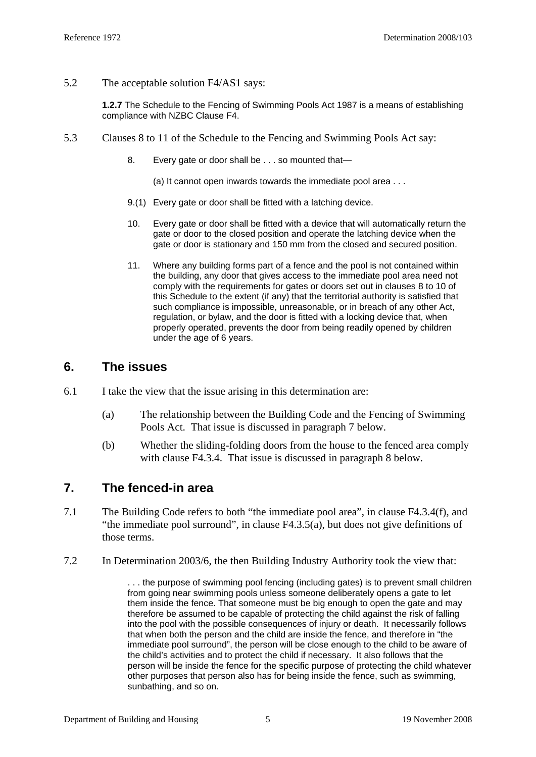5.2 The acceptable solution F4/AS1 says:

**1.2.7** The Schedule to the Fencing of Swimming Pools Act 1987 is a means of establishing compliance with NZBC Clause F4.

- 5.3 Clauses 8 to 11 of the Schedule to the Fencing and Swimming Pools Act say:
	- 8. Every gate or door shall be . . . so mounted that-
		- (a) It cannot open inwards towards the immediate pool area . . .
	- 9.(1) Every gate or door shall be fitted with a latching device.
	- 10. Every gate or door shall be fitted with a device that will automatically return the gate or door to the closed position and operate the latching device when the gate or door is stationary and 150 mm from the closed and secured position.
	- 11. Where any building forms part of a fence and the pool is not contained within the building, any door that gives access to the immediate pool area need not comply with the requirements for gates or doors set out in clauses [8](http://www.legislation.co.nz/libraries/contents/om_isapi.dll?clientID=659357310&hitsperheading=on&infobase=pal_statutes.nfo&jump=a1987-178%2fsch.0-s.8&softpage=DOC#JUMPDEST_a1987-178/sch.0-s.8) to [10](http://www.legislation.co.nz/libraries/contents/om_isapi.dll?clientID=659357310&hitsperheading=on&infobase=pal_statutes.nfo&jump=a1987-178%2fsch.0-s.10&softpage=DOC#JUMPDEST_a1987-178/sch.0-s.10) of this Schedule to the extent (if any) that the territorial authority is satisfied that such compliance is impossible, unreasonable, or in breach of any other Act, regulation, or bylaw, and the door is fitted with a locking device that, when properly operated, prevents the door from being readily opened by children under the age of 6 years.

#### **6. The issues**

- 6.1 I take the view that the issue arising in this determination are:
	- (a) The relationship between the Building Code and the Fencing of Swimming Pools Act. That issue is discussed in paragraph 7 below.
	- (b) Whether the sliding-folding doors from the house to the fenced area comply with clause F4.3.4. That issue is discussed in paragraph 8 below.

#### **7. The fenced-in area**

- 7.1 The Building Code refers to both "the immediate pool area", in clause F4.3.4(f), and "the immediate pool surround", in clause F4.3.5(a), but does not give definitions of those terms.
- 7.2 In Determination 2003/6, the then Building Industry Authority took the view that:

. . . the purpose of swimming pool fencing (including gates) is to prevent small children from going near swimming pools unless someone deliberately opens a gate to let them inside the fence. That someone must be big enough to open the gate and may therefore be assumed to be capable of protecting the child against the risk of falling into the pool with the possible consequences of injury or death. It necessarily follows that when both the person and the child are inside the fence, and therefore in "the immediate pool surround", the person will be close enough to the child to be aware of the child's activities and to protect the child if necessary. It also follows that the person will be inside the fence for the specific purpose of protecting the child whatever other purposes that person also has for being inside the fence, such as swimming, sunbathing, and so on.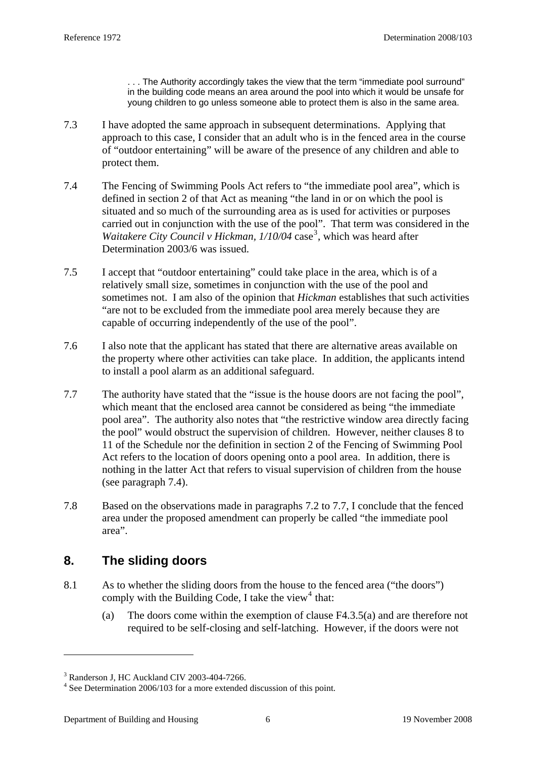. . . The Authority accordingly takes the view that the term "immediate pool surround" in the building code means an area around the pool into which it would be unsafe for young children to go unless someone able to protect them is also in the same area.

- 7.3 I have adopted the same approach in subsequent determinations. Applying that approach to this case, I consider that an adult who is in the fenced area in the course of "outdoor entertaining" will be aware of the presence of any children and able to protect them.
- 7.4 The Fencing of Swimming Pools Act refers to "the immediate pool area", which is defined in section 2 of that Act as meaning "the land in or on which the pool is situated and so much of the surrounding area as is used for activities or purposes carried out in conjunction with the use of the pool". That term was considered in the Waitakere City Council v Hickman, 1/10/04 case<sup>[3](#page-5-0)</sup>, which was heard after Determination 2003/6 was issued.
- 7.5 I accept that "outdoor entertaining" could take place in the area, which is of a relatively small size, sometimes in conjunction with the use of the pool and sometimes not. I am also of the opinion that *Hickman* establishes that such activities "are not to be excluded from the immediate pool area merely because they are capable of occurring independently of the use of the pool".
- 7.6 I also note that the applicant has stated that there are alternative areas available on the property where other activities can take place. In addition, the applicants intend to install a pool alarm as an additional safeguard.
- 7.7 The authority have stated that the "issue is the house doors are not facing the pool", which meant that the enclosed area cannot be considered as being "the immediate pool area". The authority also notes that "the restrictive window area directly facing the pool" would obstruct the supervision of children. However, neither clauses 8 to 11 of the Schedule nor the definition in section 2 of the Fencing of Swimming Pool Act refers to the location of doors opening onto a pool area. In addition, there is nothing in the latter Act that refers to visual supervision of children from the house (see paragraph 7.4).
- 7.8 Based on the observations made in paragraphs 7.2 to 7.7, I conclude that the fenced area under the proposed amendment can properly be called "the immediate pool area".

# **8. The sliding doors**

- 8.1 As to whether the sliding doors from the house to the fenced area ("the doors") comply with the Building Code, I take the view<sup>[4](#page-5-1)</sup> that:
	- (a) The doors come within the exemption of clause F4.3.5(a) and are therefore not required to be self-closing and self-latching. However, if the doors were not

<u>.</u>

<span id="page-5-0"></span><sup>3</sup> Randerson J, HC Auckland CIV 2003-404-7266.

<span id="page-5-1"></span><sup>&</sup>lt;sup>4</sup> See Determination 2006/103 for a more extended discussion of this point.